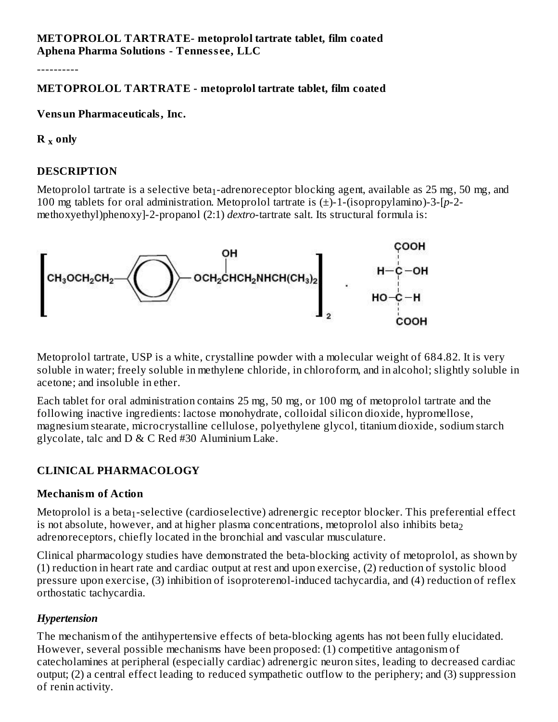### **METOPROLOL TARTRATE- metoprolol tartrate tablet, film coated Aphena Pharma Solutions - Tenness ee, LLC**

----------

### **METOPROLOL TARTRATE - metoprolol tartrate tablet, film coated**

#### **Vensun Pharmaceuticals, Inc.**

**R only x**

### **DESCRIPTION**

Metoprolol tartrate is a selective beta $_1$ -adrenoreceptor blocking agent, available as 25 mg, 50 mg, and 100 mg tablets for oral administration. Metoprolol tartrate is (±)-1-(isopropylamino)-3-[*p*-2 methoxyethyl)phenoxy]-2-propanol (2:1) *dextro*-tartrate salt. Its structural formula is:



Metoprolol tartrate, USP is a white, crystalline powder with a molecular weight of 684.82. It is very soluble in water; freely soluble in methylene chloride, in chloroform, and in alcohol; slightly soluble in acetone; and insoluble in ether.

Each tablet for oral administration contains 25 mg, 50 mg, or 100 mg of metoprolol tartrate and the following inactive ingredients: lactose monohydrate, colloidal silicon dioxide, hypromellose, magnesium stearate, microcrystalline cellulose, polyethylene glycol, titanium dioxide, sodium starch glycolate, talc and  $D \& C$  Red #30 Aluminium Lake.

# **CLINICAL PHARMACOLOGY**

### **Mechanism of Action**

Metoprolol is a beta $_1$ -selective (cardioselective) adrenergic receptor blocker. This preferential effect is not absolute, however, and at higher plasma concentrations, metoprolol also inhibits beta $_{\rm 2}$ adrenoreceptors, chiefly located in the bronchial and vascular musculature.

Clinical pharmacology studies have demonstrated the beta-blocking activity of metoprolol, as shown by (1) reduction in heart rate and cardiac output at rest and upon exercise, (2) reduction of systolic blood pressure upon exercise, (3) inhibition of isoproterenol-induced tachycardia, and (4) reduction of reflex orthostatic tachycardia.

### *Hypertension*

The mechanism of the antihypertensive effects of beta-blocking agents has not been fully elucidated. However, several possible mechanisms have been proposed: (1) competitive antagonism of catecholamines at peripheral (especially cardiac) adrenergic neuron sites, leading to decreased cardiac output; (2) a central effect leading to reduced sympathetic outflow to the periphery; and (3) suppression of renin activity.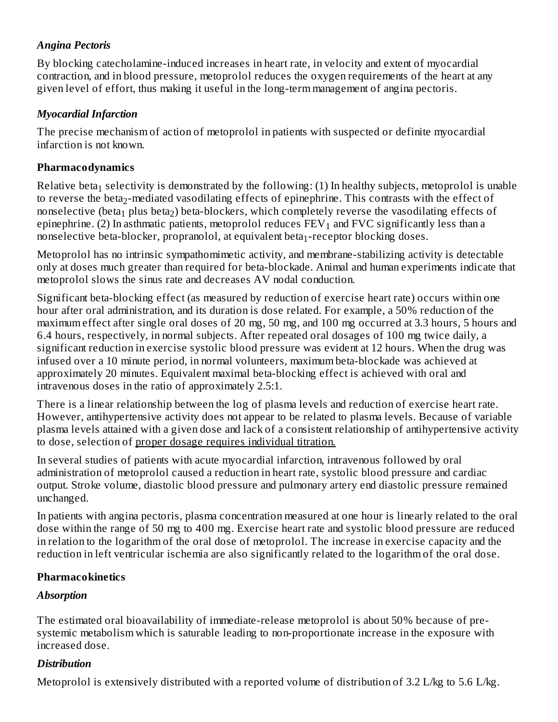# *Angina Pectoris*

By blocking catecholamine-induced increases in heart rate, in velocity and extent of myocardial contraction, and in blood pressure, metoprolol reduces the oxygen requirements of the heart at any given level of effort, thus making it useful in the long-term management of angina pectoris.

# *Myocardial Infarction*

The precise mechanism of action of metoprolol in patients with suspected or definite myocardial infarction is not known.

### **Pharmacodynamics**

Relative beta $_1$  selectivity is demonstrated by the following: (1) In healthy subjects, metoprolol is unable to reverse the beta $_2$ -mediated vasodilating effects of epinephrine. This contrasts with the effect of nonselective (beta $_{\rm 1}$  plus beta $_{\rm 2}$ ) beta-blockers, which completely reverse the vasodilating effects of epinephrine. (2) In asthmatic patients, metoprolol reduces  $\text{FEV}_1$  and  $\text{FVC}$  significantly less than a nonselective beta-blocker, propranolol, at equivalent beta $_1$ -receptor blocking doses.

Metoprolol has no intrinsic sympathomimetic activity, and membrane-stabilizing activity is detectable only at doses much greater than required for beta-blockade. Animal and human experiments indicate that metoprolol slows the sinus rate and decreases AV nodal conduction.

Significant beta-blocking effect (as measured by reduction of exercise heart rate) occurs within one hour after oral administration, and its duration is dose related. For example, a 50% reduction of the maximum effect after single oral doses of 20 mg, 50 mg, and 100 mg occurred at 3.3 hours, 5 hours and 6.4 hours, respectively, in normal subjects. After repeated oral dosages of 100 mg twice daily, a significant reduction in exercise systolic blood pressure was evident at 12 hours. When the drug was infused over a 10 minute period, in normal volunteers, maximum beta-blockade was achieved at approximately 20 minutes. Equivalent maximal beta-blocking effect is achieved with oral and intravenous doses in the ratio of approximately 2.5:1.

There is a linear relationship between the log of plasma levels and reduction of exercise heart rate. However, antihypertensive activity does not appear to be related to plasma levels. Because of variable plasma levels attained with a given dose and lack of a consistent relationship of antihypertensive activity to dose, selection of proper dosage requires individual titration.

In several studies of patients with acute myocardial infarction, intravenous followed by oral administration of metoprolol caused a reduction in heart rate, systolic blood pressure and cardiac output. Stroke volume, diastolic blood pressure and pulmonary artery end diastolic pressure remained unchanged.

In patients with angina pectoris, plasma concentration measured at one hour is linearly related to the oral dose within the range of 50 mg to 400 mg. Exercise heart rate and systolic blood pressure are reduced in relation to the logarithm of the oral dose of metoprolol. The increase in exercise capacity and the reduction in left ventricular ischemia are also significantly related to the logarithm of the oral dose.

# **Pharmacokinetics**

# *Absorption*

The estimated oral bioavailability of immediate-release metoprolol is about 50% because of presystemic metabolism which is saturable leading to non-proportionate increase in the exposure with increased dose.

# *Distribution*

Metoprolol is extensively distributed with a reported volume of distribution of 3.2 L/kg to 5.6 L/kg.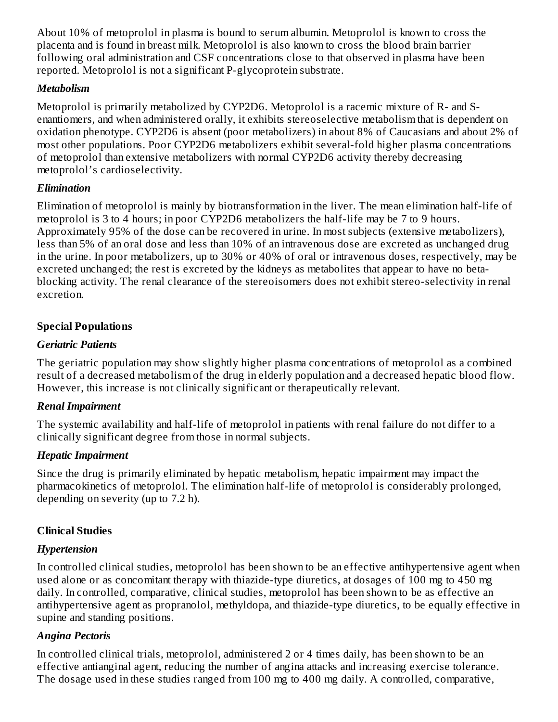About 10% of metoprolol in plasma is bound to serum albumin. Metoprolol is known to cross the placenta and is found in breast milk. Metoprolol is also known to cross the blood brain barrier following oral administration and CSF concentrations close to that observed in plasma have been reported. Metoprolol is not a significant P-glycoprotein substrate.

### *Metabolism*

Metoprolol is primarily metabolized by CYP2D6. Metoprolol is a racemic mixture of R- and Senantiomers, and when administered orally, it exhibits stereoselective metabolism that is dependent on oxidation phenotype. CYP2D6 is absent (poor metabolizers) in about 8% of Caucasians and about 2% of most other populations. Poor CYP2D6 metabolizers exhibit several-fold higher plasma concentrations of metoprolol than extensive metabolizers with normal CYP2D6 activity thereby decreasing metoprolol's cardioselectivity.

# *Elimination*

Elimination of metoprolol is mainly by biotransformation in the liver. The mean elimination half-life of metoprolol is 3 to 4 hours; in poor CYP2D6 metabolizers the half-life may be 7 to 9 hours. Approximately 95% of the dose can be recovered in urine. In most subjects (extensive metabolizers), less than 5% of an oral dose and less than 10% of an intravenous dose are excreted as unchanged drug in the urine. In poor metabolizers, up to 30% or 40% of oral or intravenous doses, respectively, may be excreted unchanged; the rest is excreted by the kidneys as metabolites that appear to have no betablocking activity. The renal clearance of the stereoisomers does not exhibit stereo-selectivity in renal excretion.

# **Special Populations**

# *Geriatric Patients*

The geriatric population may show slightly higher plasma concentrations of metoprolol as a combined result of a decreased metabolism of the drug in elderly population and a decreased hepatic blood flow. However, this increase is not clinically significant or therapeutically relevant.

# *Renal Impairment*

The systemic availability and half-life of metoprolol in patients with renal failure do not differ to a clinically significant degree from those in normal subjects.

# *Hepatic Impairment*

Since the drug is primarily eliminated by hepatic metabolism, hepatic impairment may impact the pharmacokinetics of metoprolol. The elimination half-life of metoprolol is considerably prolonged, depending on severity (up to 7.2 h).

# **Clinical Studies**

# *Hypertension*

In controlled clinical studies, metoprolol has been shown to be an effective antihypertensive agent when used alone or as concomitant therapy with thiazide-type diuretics, at dosages of 100 mg to 450 mg daily. In controlled, comparative, clinical studies, metoprolol has been shown to be as effective an antihypertensive agent as propranolol, methyldopa, and thiazide-type diuretics, to be equally effective in supine and standing positions.

# *Angina Pectoris*

In controlled clinical trials, metoprolol, administered 2 or 4 times daily, has been shown to be an effective antianginal agent, reducing the number of angina attacks and increasing exercise tolerance. The dosage used in these studies ranged from 100 mg to 400 mg daily. A controlled, comparative,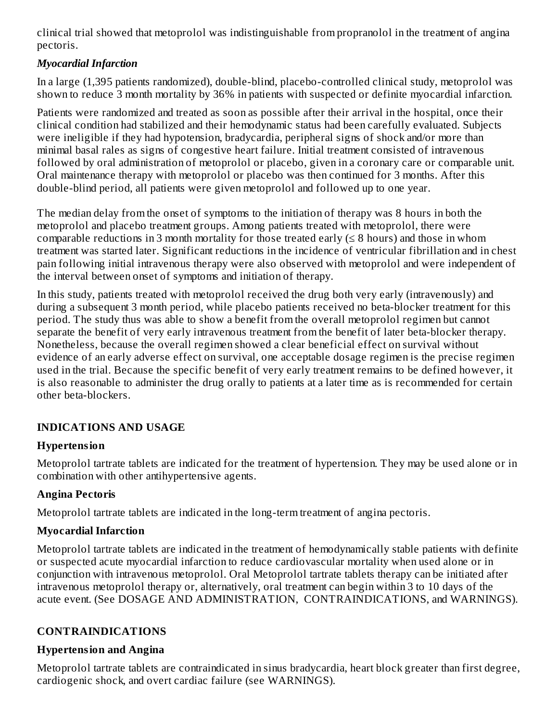clinical trial showed that metoprolol was indistinguishable from propranolol in the treatment of angina pectoris.

# *Myocardial Infarction*

In a large (1,395 patients randomized), double-blind, placebo-controlled clinical study, metoprolol was shown to reduce 3 month mortality by 36% in patients with suspected or definite myocardial infarction.

Patients were randomized and treated as soon as possible after their arrival in the hospital, once their clinical condition had stabilized and their hemodynamic status had been carefully evaluated. Subjects were ineligible if they had hypotension, bradycardia, peripheral signs of shock and/or more than minimal basal rales as signs of congestive heart failure. Initial treatment consisted of intravenous followed by oral administration of metoprolol or placebo, given in a coronary care or comparable unit. Oral maintenance therapy with metoprolol or placebo was then continued for 3 months. After this double-blind period, all patients were given metoprolol and followed up to one year.

The median delay from the onset of symptoms to the initiation of therapy was 8 hours in both the metoprolol and placebo treatment groups. Among patients treated with metoprolol, there were comparable reductions in 3 month mortality for those treated early  $( \leq 8$  hours) and those in whom treatment was started later. Significant reductions in the incidence of ventricular fibrillation and in chest pain following initial intravenous therapy were also observed with metoprolol and were independent of the interval between onset of symptoms and initiation of therapy.

In this study, patients treated with metoprolol received the drug both very early (intravenously) and during a subsequent 3 month period, while placebo patients received no beta-blocker treatment for this period. The study thus was able to show a benefit from the overall metoprolol regimen but cannot separate the benefit of very early intravenous treatment from the benefit of later beta-blocker therapy. Nonetheless, because the overall regimen showed a clear beneficial effect on survival without evidence of an early adverse effect on survival, one acceptable dosage regimen is the precise regimen used in the trial. Because the specific benefit of very early treatment remains to be defined however, it is also reasonable to administer the drug orally to patients at a later time as is recommended for certain other beta-blockers.

# **INDICATIONS AND USAGE**

# **Hypertension**

Metoprolol tartrate tablets are indicated for the treatment of hypertension. They may be used alone or in combination with other antihypertensive agents.

# **Angina Pectoris**

Metoprolol tartrate tablets are indicated in the long-term treatment of angina pectoris.

# **Myocardial Infarction**

Metoprolol tartrate tablets are indicated in the treatment of hemodynamically stable patients with definite or suspected acute myocardial infarction to reduce cardiovascular mortality when used alone or in conjunction with intravenous metoprolol. Oral Metoprolol tartrate tablets therapy can be initiated after intravenous metoprolol therapy or, alternatively, oral treatment can begin within 3 to 10 days of the acute event. (See DOSAGE AND ADMINISTRATION, CONTRAINDICATIONS, and WARNINGS).

# **CONTRAINDICATIONS**

# **Hypertension and Angina**

Metoprolol tartrate tablets are contraindicated in sinus bradycardia, heart block greater than first degree, cardiogenic shock, and overt cardiac failure (see WARNINGS).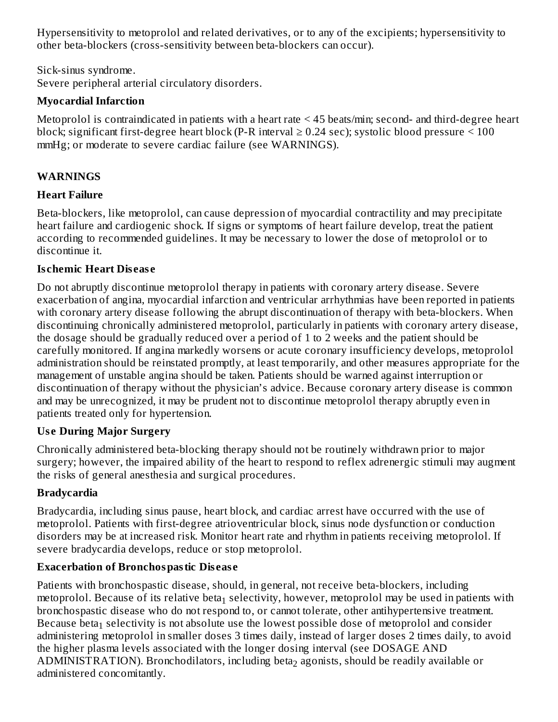Hypersensitivity to metoprolol and related derivatives, or to any of the excipients; hypersensitivity to other beta-blockers (cross-sensitivity between beta-blockers can occur).

Sick-sinus syndrome. Severe peripheral arterial circulatory disorders.

### **Myocardial Infarction**

Metoprolol is contraindicated in patients with a heart rate < 45 beats/min; second- and third-degree heart block; significant first-degree heart block (P-R interval  $\geq$  0.24 sec); systolic blood pressure  $\leq$  100 mmHg; or moderate to severe cardiac failure (see WARNINGS).

# **WARNINGS**

# **Heart Failure**

Beta-blockers, like metoprolol, can cause depression of myocardial contractility and may precipitate heart failure and cardiogenic shock. If signs or symptoms of heart failure develop, treat the patient according to recommended guidelines. It may be necessary to lower the dose of metoprolol or to discontinue it.

### **Is chemic Heart Dis eas e**

Do not abruptly discontinue metoprolol therapy in patients with coronary artery disease. Severe exacerbation of angina, myocardial infarction and ventricular arrhythmias have been reported in patients with coronary artery disease following the abrupt discontinuation of therapy with beta-blockers. When discontinuing chronically administered metoprolol, particularly in patients with coronary artery disease, the dosage should be gradually reduced over a period of 1 to 2 weeks and the patient should be carefully monitored. If angina markedly worsens or acute coronary insufficiency develops, metoprolol administration should be reinstated promptly, at least temporarily, and other measures appropriate for the management of unstable angina should be taken. Patients should be warned against interruption or discontinuation of therapy without the physician's advice. Because coronary artery disease is common and may be unrecognized, it may be prudent not to discontinue metoprolol therapy abruptly even in patients treated only for hypertension.

# **Us e During Major Surgery**

Chronically administered beta-blocking therapy should not be routinely withdrawn prior to major surgery; however, the impaired ability of the heart to respond to reflex adrenergic stimuli may augment the risks of general anesthesia and surgical procedures.

### **Bradycardia**

Bradycardia, including sinus pause, heart block, and cardiac arrest have occurred with the use of metoprolol. Patients with first-degree atrioventricular block, sinus node dysfunction or conduction disorders may be at increased risk. Monitor heart rate and rhythm in patients receiving metoprolol. If severe bradycardia develops, reduce or stop metoprolol.

# **Exacerbation of Bronchospastic Dis eas e**

Patients with bronchospastic disease, should, in general, not receive beta-blockers, including metoprolol. Because of its relative beta $_1$  selectivity, however, metoprolol may be used in patients with bronchospastic disease who do not respond to, or cannot tolerate, other antihypertensive treatment. Because beta $_1$  selectivity is not absolute use the lowest possible dose of metoprolol and consider administering metoprolol in smaller doses 3 times daily, instead of larger doses 2 times daily, to avoid the higher plasma levels associated with the longer dosing interval (see DOSAGE AND  $\mathop{\rm ADMINISTRATION}$ ). Bronchodilators, including beta $_2$  agonists, should be readily available or administered concomitantly.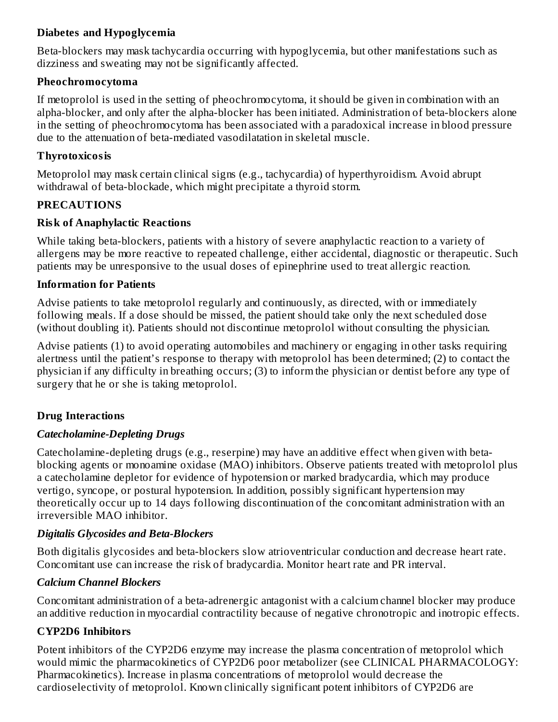### **Diabetes and Hypoglycemia**

Beta-blockers may mask tachycardia occurring with hypoglycemia, but other manifestations such as dizziness and sweating may not be significantly affected.

### **Pheochromocytoma**

If metoprolol is used in the setting of pheochromocytoma, it should be given in combination with an alpha-blocker, and only after the alpha-blocker has been initiated. Administration of beta-blockers alone in the setting of pheochromocytoma has been associated with a paradoxical increase in blood pressure due to the attenuation of beta-mediated vasodilatation in skeletal muscle.

### **Thyrotoxicosis**

Metoprolol may mask certain clinical signs (e.g., tachycardia) of hyperthyroidism. Avoid abrupt withdrawal of beta-blockade, which might precipitate a thyroid storm.

# **PRECAUTIONS**

### **Risk of Anaphylactic Reactions**

While taking beta-blockers, patients with a history of severe anaphylactic reaction to a variety of allergens may be more reactive to repeated challenge, either accidental, diagnostic or therapeutic. Such patients may be unresponsive to the usual doses of epinephrine used to treat allergic reaction.

### **Information for Patients**

Advise patients to take metoprolol regularly and continuously, as directed, with or immediately following meals. If a dose should be missed, the patient should take only the next scheduled dose (without doubling it). Patients should not discontinue metoprolol without consulting the physician.

Advise patients (1) to avoid operating automobiles and machinery or engaging in other tasks requiring alertness until the patient's response to therapy with metoprolol has been determined; (2) to contact the physician if any difficulty in breathing occurs; (3) to inform the physician or dentist before any type of surgery that he or she is taking metoprolol.

# **Drug Interactions**

### *Catecholamine-Depleting Drugs*

Catecholamine-depleting drugs (e.g., reserpine) may have an additive effect when given with betablocking agents or monoamine oxidase (MAO) inhibitors. Observe patients treated with metoprolol plus a catecholamine depletor for evidence of hypotension or marked bradycardia, which may produce vertigo, syncope, or postural hypotension. In addition, possibly significant hypertension may theoretically occur up to 14 days following discontinuation of the concomitant administration with an irreversible MAO inhibitor.

# *Digitalis Glycosides and Beta-Blockers*

Both digitalis glycosides and beta-blockers slow atrioventricular conduction and decrease heart rate. Concomitant use can increase the risk of bradycardia. Monitor heart rate and PR interval.

# *Calcium Channel Blockers*

Concomitant administration of a beta-adrenergic antagonist with a calcium channel blocker may produce an additive reduction in myocardial contractility because of negative chronotropic and inotropic effects.

# **CYP2D6 Inhibitors**

Potent inhibitors of the CYP2D6 enzyme may increase the plasma concentration of metoprolol which would mimic the pharmacokinetics of CYP2D6 poor metabolizer (see CLINICAL PHARMACOLOGY: Pharmacokinetics). Increase in plasma concentrations of metoprolol would decrease the cardioselectivity of metoprolol. Known clinically significant potent inhibitors of CYP2D6 are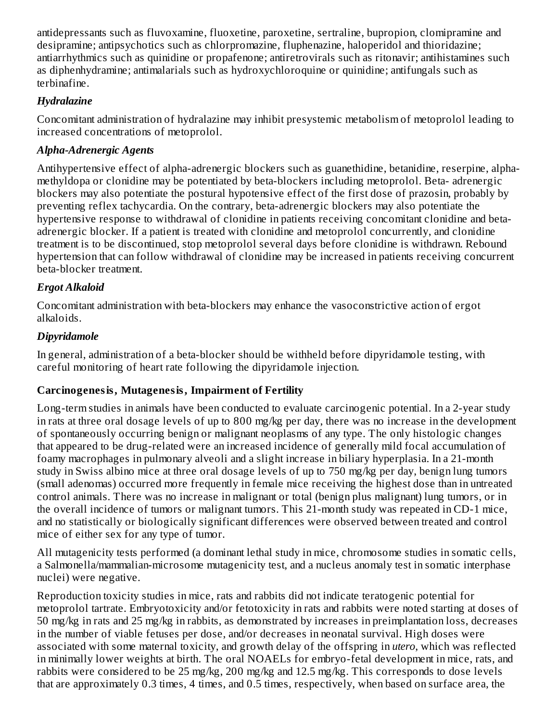antidepressants such as fluvoxamine, fluoxetine, paroxetine, sertraline, bupropion, clomipramine and desipramine; antipsychotics such as chlorpromazine, fluphenazine, haloperidol and thioridazine; antiarrhythmics such as quinidine or propafenone; antiretrovirals such as ritonavir; antihistamines such as diphenhydramine; antimalarials such as hydroxychloroquine or quinidine; antifungals such as terbinafine.

### *Hydralazine*

Concomitant administration of hydralazine may inhibit presystemic metabolism of metoprolol leading to increased concentrations of metoprolol.

# *Alpha-Adrenergic Agents*

Antihypertensive effect of alpha-adrenergic blockers such as guanethidine, betanidine, reserpine, alphamethyldopa or clonidine may be potentiated by beta-blockers including metoprolol. Beta- adrenergic blockers may also potentiate the postural hypotensive effect of the first dose of prazosin, probably by preventing reflex tachycardia. On the contrary, beta-adrenergic blockers may also potentiate the hypertensive response to withdrawal of clonidine in patients receiving concomitant clonidine and betaadrenergic blocker. If a patient is treated with clonidine and metoprolol concurrently, and clonidine treatment is to be discontinued, stop metoprolol several days before clonidine is withdrawn. Rebound hypertension that can follow withdrawal of clonidine may be increased in patients receiving concurrent beta-blocker treatment.

# *Ergot Alkaloid*

Concomitant administration with beta-blockers may enhance the vasoconstrictive action of ergot alkaloids.

# *Dipyridamole*

In general, administration of a beta-blocker should be withheld before dipyridamole testing, with careful monitoring of heart rate following the dipyridamole injection.

# **Carcinogenesis, Mutagenesis, Impairment of Fertility**

Long-term studies in animals have been conducted to evaluate carcinogenic potential. In a 2-year study in rats at three oral dosage levels of up to 800 mg/kg per day, there was no increase in the development of spontaneously occurring benign or malignant neoplasms of any type. The only histologic changes that appeared to be drug-related were an increased incidence of generally mild focal accumulation of foamy macrophages in pulmonary alveoli and a slight increase in biliary hyperplasia. In a 21-month study in Swiss albino mice at three oral dosage levels of up to 750 mg/kg per day, benign lung tumors (small adenomas) occurred more frequently in female mice receiving the highest dose than in untreated control animals. There was no increase in malignant or total (benign plus malignant) lung tumors, or in the overall incidence of tumors or malignant tumors. This 21-month study was repeated in CD-1 mice, and no statistically or biologically significant differences were observed between treated and control mice of either sex for any type of tumor.

All mutagenicity tests performed (a dominant lethal study in mice, chromosome studies in somatic cells, a Salmonella/mammalian-microsome mutagenicity test, and a nucleus anomaly test in somatic interphase nuclei) were negative.

Reproduction toxicity studies in mice, rats and rabbits did not indicate teratogenic potential for metoprolol tartrate. Embryotoxicity and/or fetotoxicity in rats and rabbits were noted starting at doses of 50 mg/kg in rats and 25 mg/kg in rabbits, as demonstrated by increases in preimplantation loss, decreases in the number of viable fetuses per dose, and/or decreases in neonatal survival. High doses were associated with some maternal toxicity, and growth delay of the offspring in *utero*, which was reflected in minimally lower weights at birth. The oral NOAELs for embryo-fetal development in mice, rats, and rabbits were considered to be 25 mg/kg, 200 mg/kg and 12.5 mg/kg. This corresponds to dose levels that are approximately 0.3 times, 4 times, and 0.5 times, respectively, when based on surface area, the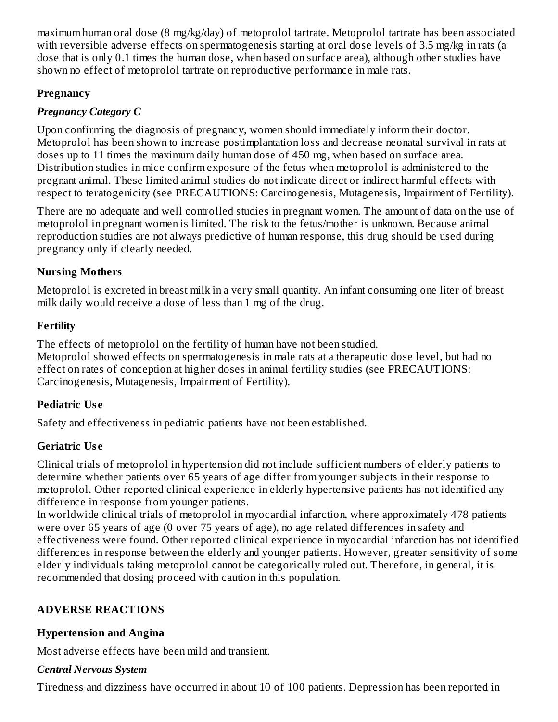maximum human oral dose (8 mg/kg/day) of metoprolol tartrate. Metoprolol tartrate has been associated with reversible adverse effects on spermatogenesis starting at oral dose levels of 3.5 mg/kg in rats (a dose that is only 0.1 times the human dose, when based on surface area), although other studies have shown no effect of metoprolol tartrate on reproductive performance in male rats.

# **Pregnancy**

# *Pregnancy Category C*

Upon confirming the diagnosis of pregnancy, women should immediately inform their doctor. Metoprolol has been shown to increase postimplantation loss and decrease neonatal survival in rats at doses up to 11 times the maximum daily human dose of 450 mg, when based on surface area. Distribution studies in mice confirm exposure of the fetus when metoprolol is administered to the pregnant animal. These limited animal studies do not indicate direct or indirect harmful effects with respect to teratogenicity (see PRECAUTIONS: Carcinogenesis, Mutagenesis, Impairment of Fertility).

There are no adequate and well controlled studies in pregnant women. The amount of data on the use of metoprolol in pregnant women is limited. The risk to the fetus/mother is unknown. Because animal reproduction studies are not always predictive of human response, this drug should be used during pregnancy only if clearly needed.

# **Nursing Mothers**

Metoprolol is excreted in breast milk in a very small quantity. An infant consuming one liter of breast milk daily would receive a dose of less than 1 mg of the drug.

# **Fertility**

The effects of metoprolol on the fertility of human have not been studied. Metoprolol showed effects on spermatogenesis in male rats at a therapeutic dose level, but had no effect on rates of conception at higher doses in animal fertility studies (see PRECAUTIONS: Carcinogenesis, Mutagenesis, Impairment of Fertility).

# **Pediatric Us e**

Safety and effectiveness in pediatric patients have not been established.

# **Geriatric Us e**

Clinical trials of metoprolol in hypertension did not include sufficient numbers of elderly patients to determine whether patients over 65 years of age differ from younger subjects in their response to metoprolol. Other reported clinical experience in elderly hypertensive patients has not identified any difference in response from younger patients.

In worldwide clinical trials of metoprolol in myocardial infarction, where approximately 478 patients were over 65 years of age (0 over 75 years of age), no age related differences in safety and effectiveness were found. Other reported clinical experience in myocardial infarction has not identified differences in response between the elderly and younger patients. However, greater sensitivity of some elderly individuals taking metoprolol cannot be categorically ruled out. Therefore, in general, it is recommended that dosing proceed with caution in this population.

# **ADVERSE REACTIONS**

# **Hypertension and Angina**

Most adverse effects have been mild and transient.

# *Central Nervous System*

Tiredness and dizziness have occurred in about 10 of 100 patients. Depression has been reported in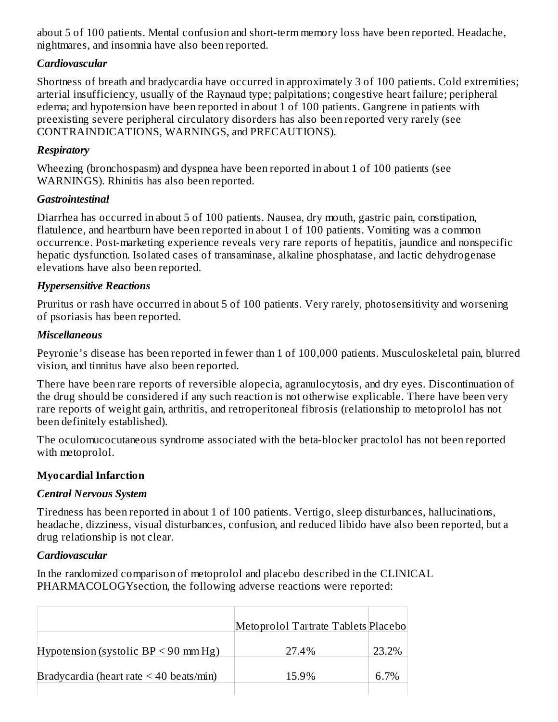about 5 of 100 patients. Mental confusion and short-term memory loss have been reported. Headache, nightmares, and insomnia have also been reported.

### *Cardiovascular*

Shortness of breath and bradycardia have occurred in approximately 3 of 100 patients. Cold extremities; arterial insufficiency, usually of the Raynaud type; palpitations; congestive heart failure; peripheral edema; and hypotension have been reported in about 1 of 100 patients. Gangrene in patients with preexisting severe peripheral circulatory disorders has also been reported very rarely (see CONTRAINDICATIONS, WARNINGS, and PRECAUTIONS).

### *Respiratory*

Wheezing (bronchospasm) and dyspnea have been reported in about 1 of 100 patients (see WARNINGS). Rhinitis has also been reported.

#### *Gastrointestinal*

Diarrhea has occurred in about 5 of 100 patients. Nausea, dry mouth, gastric pain, constipation, flatulence, and heartburn have been reported in about 1 of 100 patients. Vomiting was a common occurrence. Post-marketing experience reveals very rare reports of hepatitis, jaundice and nonspecific hepatic dysfunction. Isolated cases of transaminase, alkaline phosphatase, and lactic dehydrogenase elevations have also been reported.

#### *Hypersensitive Reactions*

Pruritus or rash have occurred in about 5 of 100 patients. Very rarely, photosensitivity and worsening of psoriasis has been reported.

#### *Miscellaneous*

Peyronie's disease has been reported in fewer than 1 of 100,000 patients. Musculoskeletal pain, blurred vision, and tinnitus have also been reported.

There have been rare reports of reversible alopecia, agranulocytosis, and dry eyes. Discontinuation of the drug should be considered if any such reaction is not otherwise explicable. There have been very rare reports of weight gain, arthritis, and retroperitoneal fibrosis (relationship to metoprolol has not been definitely established).

The oculomucocutaneous syndrome associated with the beta-blocker practolol has not been reported with metoprolol.

### **Myocardial Infarction**

### *Central Nervous System*

Tiredness has been reported in about 1 of 100 patients. Vertigo, sleep disturbances, hallucinations, headache, dizziness, visual disturbances, confusion, and reduced libido have also been reported, but a drug relationship is not clear.

#### *Cardiovascular*

In the randomized comparison of metoprolol and placebo described in the CLINICAL PHARMACOLOGYsection, the following adverse reactions were reported:

|                                              | Metoprolol Tartrate Tablets Placebo |       |
|----------------------------------------------|-------------------------------------|-------|
| Hypotension (systolic BP $\leq$ 90 mm Hg)    | 27.4%                               | 23.2% |
| Bradycardia (heart rate $\leq 40$ beats/min) | 15.9%                               | 6.7%  |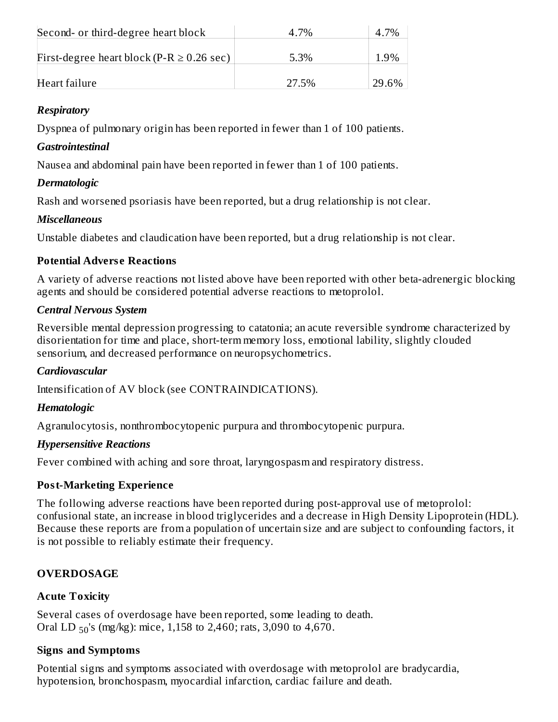| Second- or third-degree heart block            | 4.7%  | 4.7%  |
|------------------------------------------------|-------|-------|
| First-degree heart block (P-R $\geq$ 0.26 sec) | 5.3%  | 1.9%  |
| Heart failure                                  | 27.5% | 29.6% |

### *Respiratory*

Dyspnea of pulmonary origin has been reported in fewer than 1 of 100 patients.

### *Gastrointestinal*

Nausea and abdominal pain have been reported in fewer than 1 of 100 patients.

### *Dermatologic*

Rash and worsened psoriasis have been reported, but a drug relationship is not clear.

# *Miscellaneous*

Unstable diabetes and claudication have been reported, but a drug relationship is not clear.

# **Potential Advers e Reactions**

A variety of adverse reactions not listed above have been reported with other beta-adrenergic blocking agents and should be considered potential adverse reactions to metoprolol.

### *Central Nervous System*

Reversible mental depression progressing to catatonia; an acute reversible syndrome characterized by disorientation for time and place, short-term memory loss, emotional lability, slightly clouded sensorium, and decreased performance on neuropsychometrics.

# *Cardiovascular*

Intensification of AV block (see CONTRAINDICATIONS).

# *Hematologic*

Agranulocytosis, nonthrombocytopenic purpura and thrombocytopenic purpura.

# *Hypersensitive Reactions*

Fever combined with aching and sore throat, laryngospasm and respiratory distress.

# **Post-Marketing Experience**

The following adverse reactions have been reported during post-approval use of metoprolol: confusional state, an increase in blood triglycerides and a decrease in High Density Lipoprotein (HDL). Because these reports are from a population of uncertain size and are subject to confounding factors, it is not possible to reliably estimate their frequency.

# **OVERDOSAGE**

# **Acute Toxicity**

Several cases of overdosage have been reported, some leading to death. Oral LD  $_{50}$ 's (mg/kg): mice, 1,158 to 2,460; rats, 3,090 to 4,670.

# **Signs and Symptoms**

Potential signs and symptoms associated with overdosage with metoprolol are bradycardia, hypotension, bronchospasm, myocardial infarction, cardiac failure and death.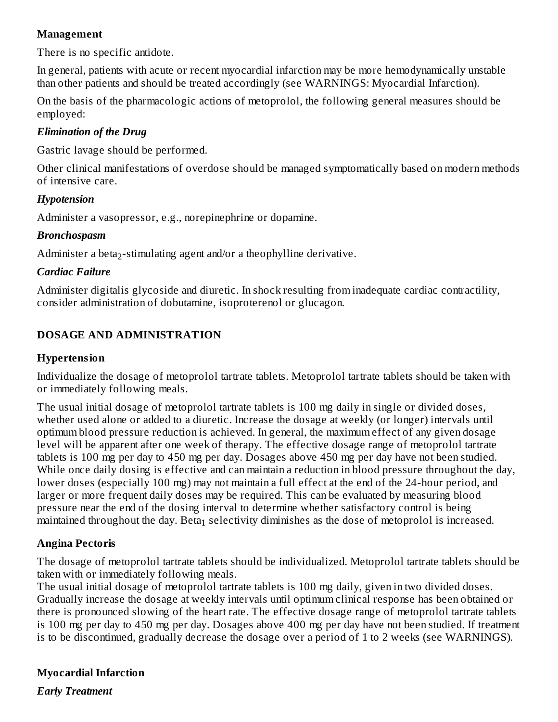#### **Management**

There is no specific antidote.

In general, patients with acute or recent myocardial infarction may be more hemodynamically unstable than other patients and should be treated accordingly (see WARNINGS: Myocardial Infarction).

On the basis of the pharmacologic actions of metoprolol, the following general measures should be employed:

### *Elimination of the Drug*

Gastric lavage should be performed.

Other clinical manifestations of overdose should be managed symptomatically based on modern methods of intensive care.

#### *Hypotension*

Administer a vasopressor, e.g., norepinephrine or dopamine.

#### *Bronchospasm*

Administer a beta<sub>2</sub>-stimulating agent and/or a theophylline derivative.

#### *Cardiac Failure*

Administer digitalis glycoside and diuretic. In shock resulting from inadequate cardiac contractility, consider administration of dobutamine, isoproterenol or glucagon.

### **DOSAGE AND ADMINISTRATION**

#### **Hypertension**

Individualize the dosage of metoprolol tartrate tablets. Metoprolol tartrate tablets should be taken with or immediately following meals.

The usual initial dosage of metoprolol tartrate tablets is 100 mg daily in single or divided doses, whether used alone or added to a diuretic. Increase the dosage at weekly (or longer) intervals until optimum blood pressure reduction is achieved. In general, the maximum effect of any given dosage level will be apparent after one week of therapy. The effective dosage range of metoprolol tartrate tablets is 100 mg per day to 450 mg per day. Dosages above 450 mg per day have not been studied. While once daily dosing is effective and can maintain a reduction in blood pressure throughout the day, lower doses (especially 100 mg) may not maintain a full effect at the end of the 24-hour period, and larger or more frequent daily doses may be required. This can be evaluated by measuring blood pressure near the end of the dosing interval to determine whether satisfactory control is being maintained throughout the day. Beta $_1$  selectivity diminishes as the dose of metoprolol is increased.

### **Angina Pectoris**

The dosage of metoprolol tartrate tablets should be individualized. Metoprolol tartrate tablets should be taken with or immediately following meals.

The usual initial dosage of metoprolol tartrate tablets is 100 mg daily, given in two divided doses. Gradually increase the dosage at weekly intervals until optimum clinical response has been obtained or there is pronounced slowing of the heart rate. The effective dosage range of metoprolol tartrate tablets is 100 mg per day to 450 mg per day. Dosages above 400 mg per day have not been studied. If treatment is to be discontinued, gradually decrease the dosage over a period of 1 to 2 weeks (see WARNINGS).

### **Myocardial Infarction**

*Early Treatment*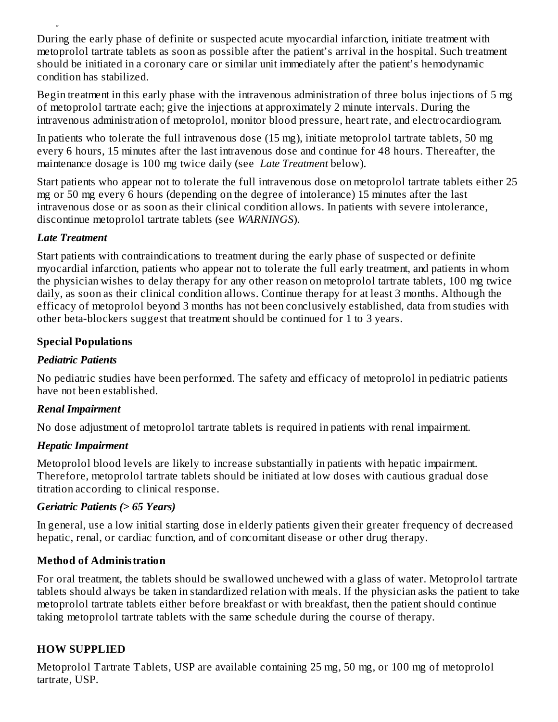During the early phase of definite or suspected acute myocardial infarction, initiate treatment with metoprolol tartrate tablets as soon as possible after the patient's arrival in the hospital. Such treatment should be initiated in a coronary care or similar unit immediately after the patient's hemodynamic condition has stabilized.

Begin treatment in this early phase with the intravenous administration of three bolus injections of 5 mg of metoprolol tartrate each; give the injections at approximately 2 minute intervals. During the intravenous administration of metoprolol, monitor blood pressure, heart rate, and electrocardiogram.

In patients who tolerate the full intravenous dose (15 mg), initiate metoprolol tartrate tablets, 50 mg every 6 hours, 15 minutes after the last intravenous dose and continue for 48 hours. Thereafter, the maintenance dosage is 100 mg twice daily (see *Late Treatment* below).

Start patients who appear not to tolerate the full intravenous dose on metoprolol tartrate tablets either 25 mg or 50 mg every 6 hours (depending on the degree of intolerance) 15 minutes after the last intravenous dose or as soon as their clinical condition allows. In patients with severe intolerance, discontinue metoprolol tartrate tablets (see *WARNINGS*).

### *Late Treatment*

*Early Treatment*

Start patients with contraindications to treatment during the early phase of suspected or definite myocardial infarction, patients who appear not to tolerate the full early treatment, and patients in whom the physician wishes to delay therapy for any other reason on metoprolol tartrate tablets, 100 mg twice daily, as soon as their clinical condition allows. Continue therapy for at least 3 months. Although the efficacy of metoprolol beyond 3 months has not been conclusively established, data from studies with other beta-blockers suggest that treatment should be continued for 1 to 3 years.

### **Special Populations**

### *Pediatric Patients*

No pediatric studies have been performed. The safety and efficacy of metoprolol in pediatric patients have not been established.

# *Renal Impairment*

No dose adjustment of metoprolol tartrate tablets is required in patients with renal impairment.

### *Hepatic Impairment*

Metoprolol blood levels are likely to increase substantially in patients with hepatic impairment. Therefore, metoprolol tartrate tablets should be initiated at low doses with cautious gradual dose titration according to clinical response.

### *Geriatric Patients (> 65 Years)*

In general, use a low initial starting dose in elderly patients given their greater frequency of decreased hepatic, renal, or cardiac function, and of concomitant disease or other drug therapy.

### **Method of Administration**

For oral treatment, the tablets should be swallowed unchewed with a glass of water. Metoprolol tartrate tablets should always be taken in standardized relation with meals. If the physician asks the patient to take metoprolol tartrate tablets either before breakfast or with breakfast, then the patient should continue taking metoprolol tartrate tablets with the same schedule during the course of therapy.

# **HOW SUPPLIED**

Metoprolol Tartrate Tablets, USP are available containing 25 mg, 50 mg, or 100 mg of metoprolol tartrate, USP.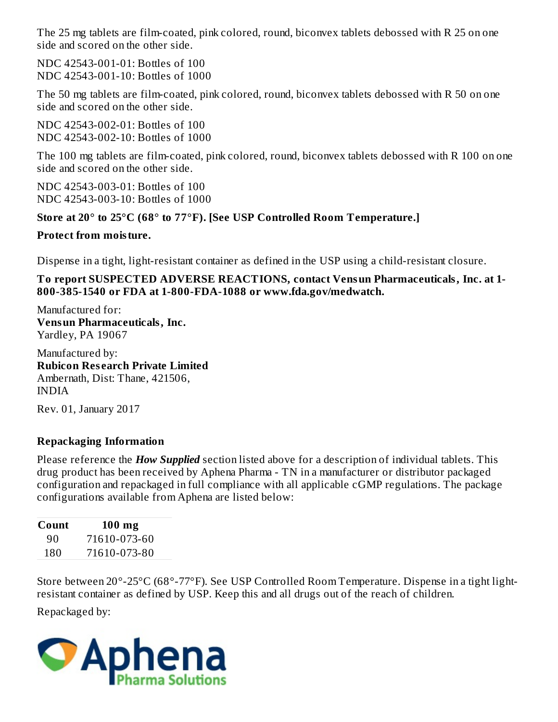The 25 mg tablets are film-coated, pink colored, round, biconvex tablets debossed with R 25 on one side and scored on the other side.

NDC 42543-001-01: Bottles of 100 NDC 42543-001-10: Bottles of 1000

The 50 mg tablets are film-coated, pink colored, round, biconvex tablets debossed with R 50 on one side and scored on the other side.

NDC 42543-002-01: Bottles of 100 NDC 42543-002-10: Bottles of 1000

The 100 mg tablets are film-coated, pink colored, round, biconvex tablets debossed with R 100 on one side and scored on the other side.

NDC 42543-003-01: Bottles of 100 NDC 42543-003-10: Bottles of 1000

# **Store at 20° to 25°C (68° to 77°F). [See USP Controlled Room Temperature.]**

# **Protect from moisture.**

Dispense in a tight, light-resistant container as defined in the USP using a child-resistant closure.

**To report SUSPECTED ADVERSE REACTIONS, contact Vensun Pharmaceuticals, Inc. at 1- 800-385-1540 or FDA at 1-800-FDA-1088 or www.fda.gov/medwatch.**

Manufactured for: **Vensun Pharmaceuticals, Inc.** Yardley, PA 19067

Manufactured by: **Rubicon Res earch Private Limited** Ambernath, Dist: Thane, 421506, INDIA

Rev. 01, January 2017

# **Repackaging Information**

Please reference the *How Supplied* section listed above for a description of individual tablets. This drug product has been received by Aphena Pharma - TN in a manufacturer or distributor packaged configuration and repackaged in full compliance with all applicable cGMP regulations. The package configurations available from Aphena are listed below:

| Count | $100$ mg     |  |  |
|-------|--------------|--|--|
| 90    | 71610-073-60 |  |  |
| 180   | 71610-073-80 |  |  |

Store between 20°-25°C (68°-77°F). See USP Controlled Room Temperature. Dispense in a tight lightresistant container as defined by USP. Keep this and all drugs out of the reach of children.

Repackaged by:

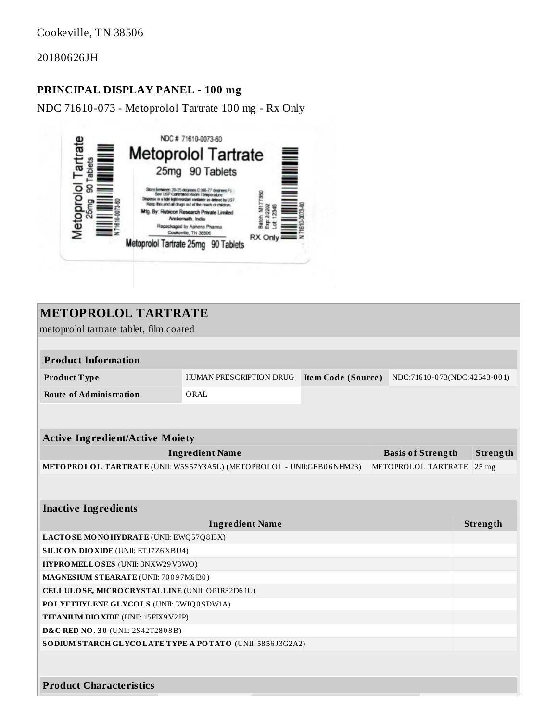Cookeville, TN 38506

20180626JH

### **PRINCIPAL DISPLAY PANEL - 100 mg**

NDC 71610-073 - Metoprolol Tartrate 100 mg - Rx Only



| <b>METOPROLOL TARTRATE</b>                                                                    |                         |                    |                              |          |          |
|-----------------------------------------------------------------------------------------------|-------------------------|--------------------|------------------------------|----------|----------|
| metoprolol tartrate tablet, film coated                                                       |                         |                    |                              |          |          |
|                                                                                               |                         |                    |                              |          |          |
| <b>Product Information</b>                                                                    |                         |                    |                              |          |          |
| Product Type                                                                                  | HUMAN PRESCRIPTION DRUG | Item Code (Source) | NDC:71610-073(NDC:42543-001) |          |          |
| <b>Route of Administration</b>                                                                | ORAL                    |                    |                              |          |          |
|                                                                                               |                         |                    |                              |          |          |
|                                                                                               |                         |                    |                              |          |          |
| <b>Active Ingredient/Active Moiety</b>                                                        |                         |                    |                              |          |          |
|                                                                                               | <b>Ingredient Name</b>  |                    | <b>Basis of Strength</b>     |          | Strength |
| METOPROLOL TARTRATE (UNII: W5S57Y3A5L) (METOPROLOL - UNII:GEB06NHM23)                         |                         |                    | METOPROLOL TARTRATE          |          | $25$ mg  |
|                                                                                               |                         |                    |                              |          |          |
|                                                                                               |                         |                    |                              |          |          |
| <b>Inactive Ingredients</b>                                                                   |                         |                    |                              |          |          |
| <b>Ingredient Name</b>                                                                        |                         |                    |                              | Strength |          |
| LACTOSE MONOHYDRATE (UNII: EWQ57Q8I5X)                                                        |                         |                    |                              |          |          |
| <b>SILICON DIO XIDE (UNII: ETJ7Z6 XBU4)</b>                                                   |                         |                    |                              |          |          |
| HYPROMELLOSES (UNII: 3NXW29V3WO)                                                              |                         |                    |                              |          |          |
| MAGNESIUM STEARATE (UNII: 70097M6I30)                                                         |                         |                    |                              |          |          |
| CELLULOSE, MICRO CRYSTALLINE (UNII: OP1R32D61U)                                               |                         |                    |                              |          |          |
| POLYETHYLENE GLYCOLS (UNII: 3WJQ0SDW1A)                                                       |                         |                    |                              |          |          |
| <b>TITANIUM DIO XIDE</b> (UNII: 15FIX9 V2JP)                                                  |                         |                    |                              |          |          |
| D&C RED NO. 30 (UNII: 2S42T2808B)<br>SODIUM STARCH GLYCOLATE TYPE A POTATO (UNII: 5856J3G2A2) |                         |                    |                              |          |          |
|                                                                                               |                         |                    |                              |          |          |
|                                                                                               |                         |                    |                              |          |          |
| <b>Product Characteristics</b>                                                                |                         |                    |                              |          |          |
|                                                                                               |                         |                    |                              |          |          |